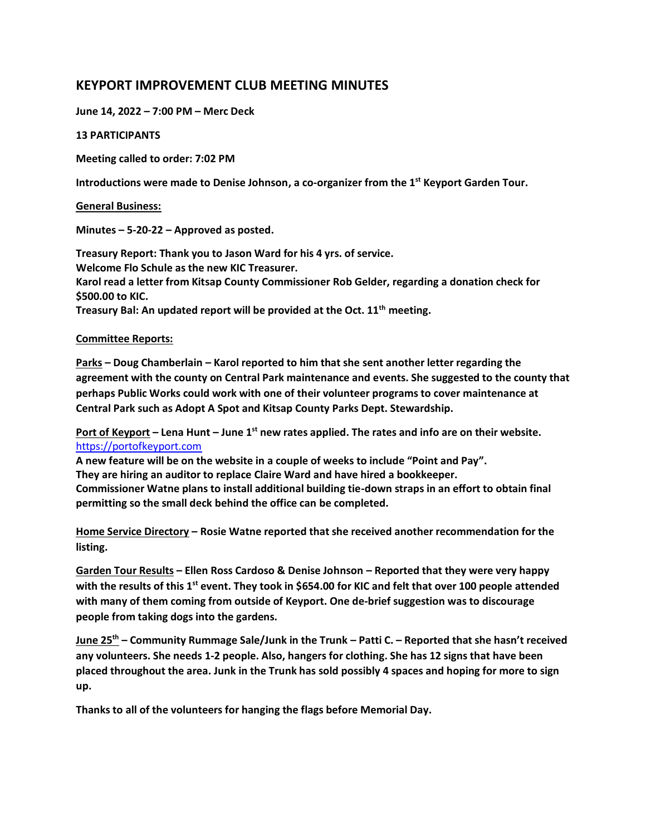# **KEYPORT IMPROVEMENT CLUB MEETING MINUTES**

**June 14, 2022 – 7:00 PM – Merc Deck**

## **13 PARTICIPANTS**

**Meeting called to order: 7:02 PM**

**Introductions were made to Denise Johnson, a co-organizer from the 1st Keyport Garden Tour.**

## **General Business:**

**Minutes – 5-20-22 – Approved as posted.**

**Treasury Report: Thank you to Jason Ward for his 4 yrs. of service. Welcome Flo Schule as the new KIC Treasurer. Karol read a letter from Kitsap County Commissioner Rob Gelder, regarding a donation check for \$500.00 to KIC. Treasury Bal: An updated report will be provided at the Oct. 11th meeting.**

# **Committee Reports:**

**Parks – Doug Chamberlain – Karol reported to him that she sent another letter regarding the agreement with the county on Central Park maintenance and events. She suggested to the county that perhaps Public Works could work with one of their volunteer programs to cover maintenance at Central Park such as Adopt A Spot and Kitsap County Parks Dept. Stewardship.** 

**Port of Keyport – Lena Hunt – June 1st new rates applied. The rates and info are on their website.** [https://portofkeyport.com](https://portofkeyport.com/)

**A new feature will be on the website in a couple of weeks to include "Point and Pay". They are hiring an auditor to replace Claire Ward and have hired a bookkeeper. Commissioner Watne plans to install additional building tie-down straps in an effort to obtain final permitting so the small deck behind the office can be completed.**

**Home Service Directory – Rosie Watne reported that she received another recommendation for the listing.** 

**Garden Tour Results – Ellen Ross Cardoso & Denise Johnson – Reported that they were very happy with the results of this 1st event. They took in \$654.00 for KIC and felt that over 100 people attended with many of them coming from outside of Keyport. One de-brief suggestion was to discourage people from taking dogs into the gardens.** 

**June 25th – Community Rummage Sale/Junk in the Trunk – Patti C. – Reported that she hasn't received any volunteers. She needs 1-2 people. Also, hangers for clothing. She has 12 signs that have been placed throughout the area. Junk in the Trunk has sold possibly 4 spaces and hoping for more to sign up.**

**Thanks to all of the volunteers for hanging the flags before Memorial Day.**